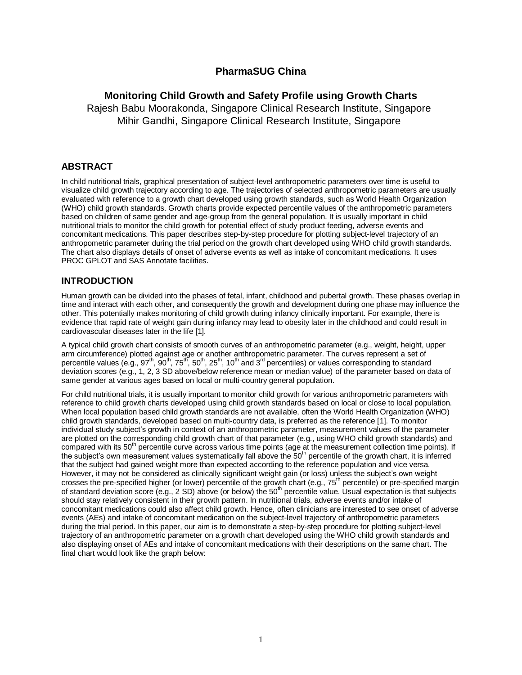# **PharmaSUG China**

# **Monitoring Child Growth and Safety Profile using Growth Charts**

Rajesh Babu Moorakonda, Singapore Clinical Research Institute, Singapore Mihir Gandhi, Singapore Clinical Research Institute, Singapore

## **ABSTRACT**

In child nutritional trials, graphical presentation of subject-level anthropometric parameters over time is useful to visualize child growth trajectory according to age. The trajectories of selected anthropometric parameters are usually evaluated with reference to a growth chart developed using growth standards, such as World Health Organization (WHO) child growth standards. Growth charts provide expected percentile values of the anthropometric parameters based on children of same gender and age-group from the general population. It is usually important in child nutritional trials to monitor the child growth for potential effect of study product feeding, adverse events and concomitant medications. This paper describes step-by-step procedure for plotting subject-level trajectory of an anthropometric parameter during the trial period on the growth chart developed using WHO child growth standards. The chart also displays details of onset of adverse events as well as intake of concomitant medications. It uses PROC GPLOT and SAS Annotate facilities.

# **INTRODUCTION**

Human growth can be divided into the phases of fetal, infant, childhood and pubertal growth. These phases overlap in time and interact with each other, and consequently the growth and development during one phase may influence the other. This potentially makes monitoring of child growth during infancy clinically important. For example, there is evidence that rapid rate of weight gain during infancy may lead to obesity later in the childhood and could result in cardiovascular diseases later in the life [1].

A typical child growth chart consists of smooth curves of an anthropometric parameter (e.g., weight, height, upper arm circumference) plotted against age or another anthropometric parameter. The curves represent a set of percentile values (e.g., 97<sup>th</sup>, 90<sup>th</sup>, 75<sup>th</sup>, 50<sup>th</sup>, 25<sup>th</sup>, 10<sup>th</sup> and 3<sup>rd</sup> percentiles) or values corresponding to standard deviation scores (e.g., 1, 2, 3 SD above/below reference mean or median value) of the parameter based on data of same gender at various ages based on local or multi-country general population.

For child nutritional trials, it is usually important to monitor child growth for various anthropometric parameters with reference to child growth charts developed using child growth standards based on local or close to local population. When local population based child growth standards are not available, often the World Health Organization (WHO) child growth standards, developed based on multi-country data, is preferred as the reference [1]. To monitor individual study subject's growth in context of an anthropometric parameter, measurement values of the parameter are plotted on the corresponding child growth chart of that parameter (e.g., using WHO child growth standards) and compared with its 50<sup>th</sup> percentile curve across various time points (age at the measurement collection time points). If the subject's own measurement values systematically fall above the  $50<sup>th</sup>$  percentile of the growth chart, it is inferred that the subject had gained weight more than expected according to the reference population and vice versa. However, it may not be considered as clinically significant weight gain (or loss) unless the subject's own weight crosses the pre-specified higher (or lower) percentile of the growth chart (e.g., 75<sup>th</sup> percentile) or pre-specified margin of standard deviation score  $(e.g., 2 SD)$  above (or below) the  $50<sup>th</sup>$  percentile value. Usual expectation is that subjects should stay relatively consistent in their growth pattern. In nutritional trials, adverse events and/or intake of concomitant medications could also affect child growth. Hence, often clinicians are interested to see onset of adverse events (AEs) and intake of concomitant medication on the subject-level trajectory of anthropometric parameters during the trial period. In this paper, our aim is to demonstrate a step-by-step procedure for plotting subject-level trajectory of an anthropometric parameter on a growth chart developed using the WHO child growth standards and also displaying onset of AEs and intake of concomitant medications with their descriptions on the same chart. The final chart would look like the graph below: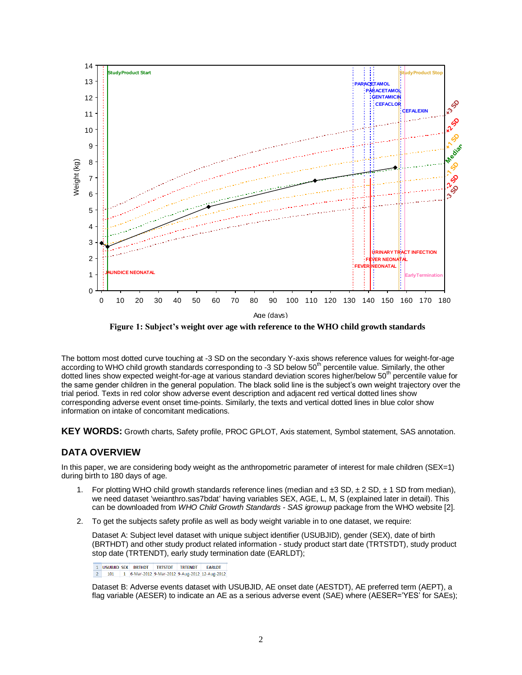

**Figure 1: Subject's weight over age with reference to the WHO child growth standards**

The bottom most dotted curve touching at -3 SD on the secondary Y-axis shows reference values for weight-for-age according to WHO child growth standards corresponding to -3 SD below 50<sup>th</sup> percentile value. Similarly, the other dotted lines show expected weight-for-age at various standard deviation scores higher/below  $50<sup>th</sup>$  percentile value for the same gender children in the general population. The black solid line is the subject's own weight trajectory over the trial period. Texts in red color show adverse event description and adjacent red vertical dotted lines show corresponding adverse event onset time-points. Similarly, the texts and vertical dotted lines in blue color show information on intake of concomitant medications.

**KEY WORDS:** Growth charts, Safety profile, PROC GPLOT, Axis statement, Symbol statement, SAS annotation.

## **DATA OVERVIEW**

In this paper, we are considering body weight as the anthropometric parameter of interest for male children (SEX=1) during birth to 180 days of age.

- 1. For plotting WHO child growth standards reference lines (median and  $\pm 3$  SD,  $\pm 2$  SD,  $\pm 1$  SD from median), we need dataset 'weianthro.sas7bdat' having variables SEX, AGE, L, M, S (explained later in detail). This can be downloaded from *WHO Child Growth Standards - SAS igrowup* package from the WHO website [2].
- 2. To get the subjects safety profile as well as body weight variable in to one dataset, we require:

Dataset A: Subject level dataset with unique subject identifier (USUBJID), gender (SEX), date of birth (BRTHDT) and other study product related information - study product start date (TRTSTDT), study product stop date (TRTENDT), early study termination date (EARLDT);

1 USUBJID SEX BRTHDT TRTSTDT TRTENDT EARLDT 2 101 1 6-Mar-2012 9-Mar-2012 9-Aug-2012 12-Aug-2012

Dataset B: Adverse events dataset with USUBJID, AE onset date (AESTDT), AE preferred term (AEPT), a flag variable (AESER) to indicate an AE as a serious adverse event (SAE) where (AESER='YES' for SAEs);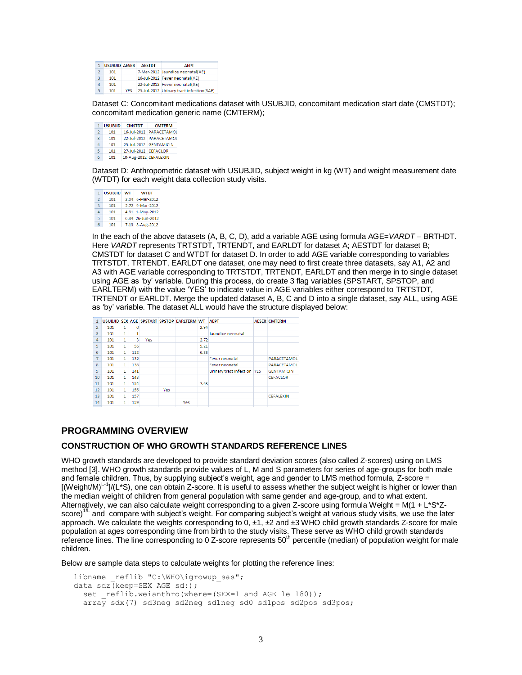|               | <b>USUBJID AESER</b> |            | <b>AESTDT</b> | <b>AEPT</b>                              |
|---------------|----------------------|------------|---------------|------------------------------------------|
| $\mathcal{P}$ | 101                  |            |               | 7-Mar-2012 Jaundice neonatal(AE)         |
| 3             | 101                  |            |               | 16-Jul-2012 Fever neonatal(AE)           |
| $\Delta$      | 101                  |            |               | 22-Jul-2012 Fever neonatal(AE)           |
| 5             | 101                  | <b>YFS</b> |               | 25-Jul-2012 Urinary tract infection(SAE) |

Dataset C: Concomitant medications dataset with USUBJID, concomitant medication start date (CMSTDT); concomitant medication generic name (CMTERM);

| 1              | <b>USUBJID</b> | <b>CMSTDT</b>         | <b>CMTFRM</b>           |  |  |  |  |
|----------------|----------------|-----------------------|-------------------------|--|--|--|--|
| $\overline{2}$ | 101            |                       | 16-Jul-2012 PARACETAMOL |  |  |  |  |
| 3              | 101            |                       | 22-Jul-2012 PARACETAMOL |  |  |  |  |
| 4              | 101            |                       | 25-Jul-2012 GENTAMICIN  |  |  |  |  |
| 5              | 101            | 27-Jul-2012 CEFACLOR  |                         |  |  |  |  |
| 6              | 101            | 10-Aug-2012 CEFALEXIN |                         |  |  |  |  |
|                |                |                       |                         |  |  |  |  |

Dataset D: Anthropometric dataset with USUBJID, subject weight in kg (WT) and weight measurement date (WTDT) for each weight data collection study visits.

| 1             | <b>USUBJID</b> | WТ | <b>WTDT</b>      |
|---------------|----------------|----|------------------|
| $\mathcal{P}$ | 101            |    | 2.94 6-Mar-2012  |
| 3             | 101            |    | 2.72 9-Mar-2012  |
| Δ             | 101            |    | 4.91 1-May-2012  |
| 5             | 101            |    | 6.34 26-Jun-2012 |
| 6             | 101            |    | 7.13 8-Aug-2012  |

In the each of the above datasets (A, B, C, D), add a variable AGE using formula AGE=*VARDT* – BRTHDT. Here *VARDT* represents TRTSTDT, TRTENDT, and EARLDT for dataset A: AESTDT for dataset B: CMSTDT for dataset C and WTDT for dataset D. In order to add AGE variable corresponding to variables TRTSTDT, TRTENDT, EARLDT one dataset, one may need to first create three datasets, say A1, A2 and A3 with AGE variable corresponding to TRTSTDT, TRTENDT, EARLDT and then merge in to single dataset using AGE as 'by' variable. During this process, do create 3 flag variables (SPSTART, SPSTOP, and EARLTERM) with the value 'YES' to indicate value in AGE variables either correspond to TRTSTDT, TRTENDT or EARLDT. Merge the updated dataset A, B, C and D into a single dataset, say ALL, using AGE as 'by' variable. The dataset ALL would have the structure displayed below:

|                |     |   |     |     |     | USUBJID SEX AGE SPSTART SPSTOP EARLTERM WT |      | <b>AEPT</b>                 | <b>AESER CMTERM</b> |
|----------------|-----|---|-----|-----|-----|--------------------------------------------|------|-----------------------------|---------------------|
| $\mathcal{P}$  | 101 | 1 | 0   |     |     |                                            | 2.94 |                             |                     |
| 3              | 101 | 1 |     |     |     |                                            |      | Jaundice neonatal           |                     |
| 4              | 101 | 1 | 3   | Yes |     |                                            | 2.72 |                             |                     |
| 5              | 101 | 1 | 56  |     |     |                                            | 5.21 |                             |                     |
| 6              | 101 | 1 | 112 |     |     |                                            | 6.83 |                             |                     |
| $\overline{7}$ | 101 | 1 | 132 |     |     |                                            |      | Fever neonatal              | PARACETAMOL         |
| $\mathbf{8}$   | 101 | 1 | 138 |     |     |                                            |      | Fever neonatal              | PARACETAMOL         |
| 9              | 101 | 1 | 141 |     |     |                                            |      | Urinary tract infection YES | <b>GENTAMICIN</b>   |
| 10             | 101 | 1 | 143 |     |     |                                            |      |                             | <b>CEFACLOR</b>     |
| 11             | 101 | 1 | 154 |     |     |                                            | 7.63 |                             |                     |
| 12             | 101 | 1 | 156 |     | Yes |                                            |      |                             |                     |
| 13             | 101 | 1 | 157 |     |     |                                            |      |                             | <b>CEFALEXIN</b>    |
| 14             | 101 | 1 | 159 |     |     | Yes                                        |      |                             |                     |
|                |     |   |     |     |     |                                            |      |                             |                     |

## **PROGRAMMING OVERVIEW**

### **CONSTRUCTION OF WHO GROWTH STANDARDS REFERENCE LINES**

WHO growth standards are developed to provide standard deviation scores (also called Z-scores) using on LMS method [3]. WHO growth standards provide values of L, M and S parameters for series of age-groups for both male and female children. Thus, by supplying subject's weight, age and gender to LMS method formula, Z-score = [(Weight/M)<sup>L-1</sup>]/(L\*S), one can obtain Z-score. It is useful to assess whether the subject weight is higher or lower than the median weight of children from general population with same gender and age-group, and to what extent. Alternatively, we can also calculate weight corresponding to a given Z-score using formula Weight = M(1 + L\*S\*Zscore)<sup>1/L</sup> and compare with subject's weight. For comparing subject's weight at various study visits, we use the later approach. We calculate the weights corresponding to  $0, \pm 1, \pm 2$  and  $\pm 3$  WHO child growth standards Z-score for male population at ages corresponding time from birth to the study visits. These serve as WHO child growth standards reference lines. The line corresponding to 0 Z-score represents 50<sup>th</sup> percentile (median) of population weight for male children.

Below are sample data steps to calculate weights for plotting the reference lines:

```
libname _reflib "C:\WHO\igrowup_sas";
data sdz(keep=SEX AGE sd:);
 set reflib.weianthro(where=(SEX=1 and AGE le 180));
   array sdx(7) sd3neg sd2neg sd1neg sd0 sd1pos sd2pos sd3pos;
```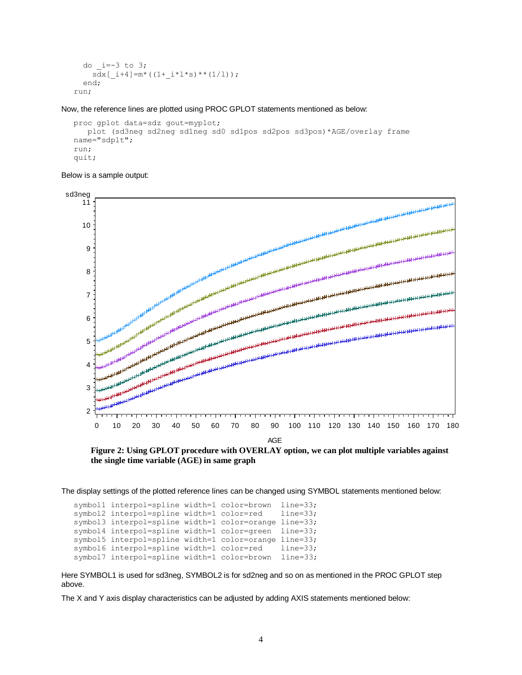```
do i=-3 to 3;
    s\bar{dx}[ i+4]=m*((1+ i*l*s)**(1/l));
   end;
run;
```
Now, the reference lines are plotted using PROC GPLOT statements mentioned as below:

```
proc gplot data=sdz gout=myplot;
   plot (sd3neg sd2neg sd1neg sd0 sd1pos sd2pos sd3pos)*AGE/overlay frame 
name="sdplt";
run;
quit;
```


**the single time variable (AGE) in same graph**

The display settings of the plotted reference lines can be changed using SYMBOL statements mentioned below:

```
symbol1 interpol=spline width=1 color=brown line=33;
symbol2 interpol=spline width=1 color=red line=33;
symbol3 interpol=spline width=1 color=orange line=33;
symbol4 interpol=spline width=1 color=green line=33;
symbol5 interpol=spline width=1 color=orange line=33;
symbol6 interpol=spline width=1 color=red line=33;
symbol7 interpol=spline width=1 color=brown line=33;
```
Here SYMBOL1 is used for sd3neg, SYMBOL2 is for sd2neg and so on as mentioned in the PROC GPLOT step above.

The X and Y axis display characteristics can be adjusted by adding AXIS statements mentioned below: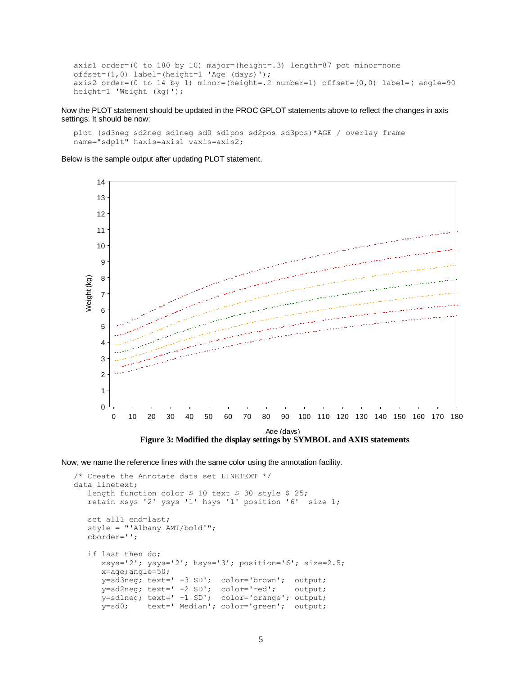```
axis1 order=(0 to 180 by 10) major=(height=.3) length=87 pct minor=none 
offset=(1,0) label=(height=1 'Age (days)');
axis2 order=(0 to 14 by 1) minor=(height=.2 number=1) offset=(0,0) label=(angle=90height=1 'Weight (kg)');
```
Now the PLOT statement should be updated in the PROC GPLOT statements above to reflect the changes in axis settings. It should be now:

plot (sd3neg sd2neg sd1neg sd0 sd1pos sd2pos sd3pos)\*AGE / overlay frame name="sdplt" haxis=axis1 vaxis=axis2;

Below is the sample output after updating PLOT statement.



**Figure 3: Modified the display settings by SYMBOL and AXIS statements**

Now, we name the reference lines with the same color using the annotation facility.

```
/* Create the Annotate data set LINETEXT */
data linetext; 
   length function color $ 10 text $ 30 style $ 25;
    retain xsys '2' ysys '1' hsys '1' position '6' size 1;
    set all1 end=last;
    style = "'Albany AMT/bold'";
    cborder='';
    if last then do;
       xsys='2'; ysys='2'; hsys='3'; position='6'; size=2.5;
       x=age;angle=50;
       y=sd3neg; text=' -3 SD'; color='brown'; output;
 y=sd2neg; text=' -2 SD'; color='red'; output;
 y=sd1neg; text=' -1 SD'; color='orange'; output;
 y=sd0; text=' Median'; color='green'; output;
```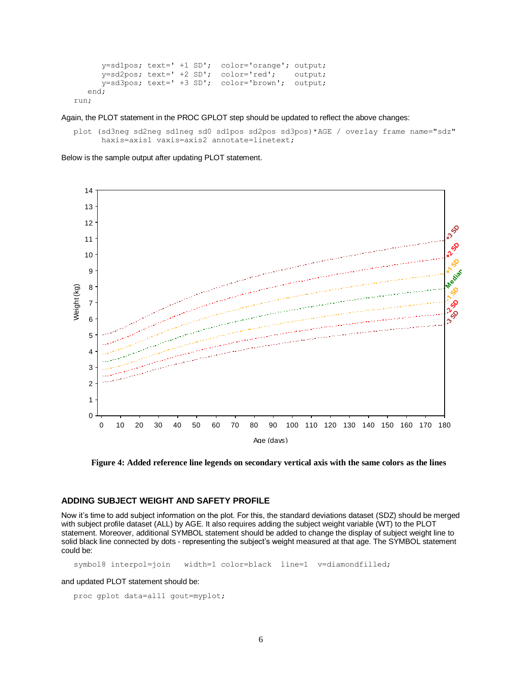```
 y=sd1pos; text=' +1 SD'; color='orange'; output;
       y=sd2pos; text=' +2 SD'; color='red'; output;
       y=sd3pos; text=' +3 SD'; color='brown'; output;
    end;
run;
```
Again, the PLOT statement in the PROC GPLOT step should be updated to reflect the above changes:

plot (sd3neg sd2neg sd1neg sd0 sd1pos sd2pos sd3pos)\*AGE / overlay frame name="sdz" haxis=axis1 vaxis=axis2 annotate=linetext;

Below is the sample output after updating PLOT statement.



**Figure 4: Added reference line legends on secondary vertical axis with the same colors as the lines**

### **ADDING SUBJECT WEIGHT AND SAFETY PROFILE**

Now it's time to add subject information on the plot. For this, the standard deviations dataset (SDZ) should be merged with subject profile dataset (ALL) by AGE. It also requires adding the subject weight variable (WT) to the PLOT statement. Moreover, additional SYMBOL statement should be added to change the display of subject weight line to solid black line connected by dots - representing the subject's weight measured at that age. The SYMBOL statement could be:

symbol8 interpol=join width=1 color=black line=1 v=diamondfilled;

### and updated PLOT statement should be:

```
proc gplot data=all1 gout=myplot;
```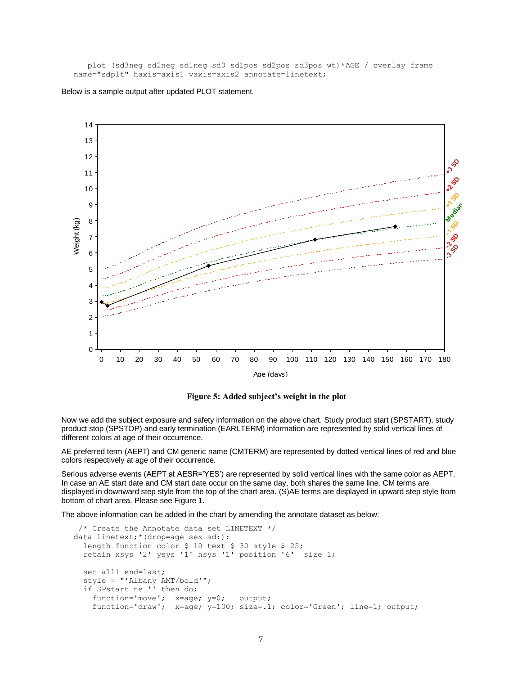plot (sd3neg sd2neg sd1neg sd0 sd1pos sd2pos sd3pos wt)\*AGE / overlay frame name="sdplt" haxis=axis1 vaxis=axis2 annotate=linetext;



Below is a sample output after updated PLOT statement.

**Figure 5: Added subject's weight in the plot**

Now we add the subject exposure and safety information on the above chart. Study product start (SPSTART), study product stop (SPSTOP) and early termination (EARLTERM) information are represented by solid vertical lines of different colors at age of their occurrence.

AE preferred term (AEPT) and CM generic name (CMTERM) are represented by dotted vertical lines of red and blue colors respectively at age of their occurrence.

Serious adverse events (AEPT at AESR='YES') are represented by solid vertical lines with the same color as AEPT. In case an AE start date and CM start date occur on the same day, both shares the same line. CM terms are displayed in downward step style from the top of the chart area. (S)AE terms are displayed in upward step style from bottom of chart area. Please see Figure 1.

The above information can be added in the chart by amending the annotate dataset as below:

```
/* Create the Annotate data set LINETEXT */
data linetext;*(drop=age sex sd:); 
   length function color $ 10 text $ 30 style $ 25;
  retain xsys '2' ysys '1' hsys '1' position '6' size 1;
  set all1 end=last;
   style = "'Albany AMT/bold'";
   if SPstart ne '' then do;
function='move'; x=age; y=0; output;
    function='draw'; x=age; y=100; size=.1; color='Green'; line=1; output;
```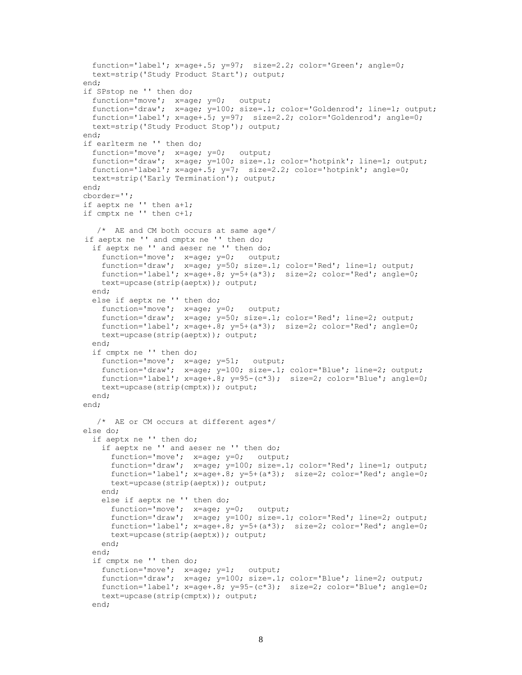```
function='label'; x=age+.5; y=97; size=2.2; color='Green'; angle=0; 
   text=strip('Study Product Start'); output; 
 end;
 if SPstop ne '' then do;
  function='move'; x=age; y=0; output;
  function='draw'; x=age; y=100; size=.1; color='Goldenrod'; line=1; output;
  function='label'; x=age+.5; y=97; size=2.2; color='Goldenrod'; angle=0; 
   text=strip('Study Product Stop'); output; 
 end;
 if earlterm ne '' then do;
  function='move'; x=age; y=0; output;
  function='draw'; x=age; y=100; size=.1; color='hotpink'; line=1; output;
  function='label'; x=age+.5; y=7; size=2.2; color='hotpink'; angle=0; 
   text=strip('Early Termination'); output; 
 end;
 cborder='';
 if aeptx ne '' then a+1;
 if cmptx ne '' then c+1;
    /* AE and CM both occurs at same age*/
 if aeptx ne '' and cmptx ne '' then do;
  if aeptx ne '' and aeser ne '' then do;
   function='move'; x=age; y=0; output;
   function='draw'; x=age; y=50; size=.1; color='Red'; line=1; output;
   function='label'; x=age+.8; y=5+(a*3); size=2; color='Red'; angle=0; 
     text=upcase(strip(aeptx)); output; 
  end;
  else if aeptx ne '' then do;
    function='move'; x=age; y=0; output;
    function='draw'; x=age; y=50; size=.1; color='Red'; line=2; output;
   function='label'; x=aqe+.8; y=5+(a*3); size=2; color='Red'; angle=0;
     text=upcase(strip(aeptx)); output; 
  end;
  if cmptx ne '' then do;
    function='move'; x=age; y=51; output;
     function='draw'; x=age; y=100; size=.1; color='Blue'; line=2; output;
     function='label'; x=age+.8; y=95-(c*3); size=2; color='Blue'; angle=0; 
     text=upcase(strip(cmptx)); output; 
  end;
 end;
  /* AE or CM occurs at different ages*/
 else do;
   if aeptx ne '' then do;
     if aeptx ne '' and aeser ne '' then do;
       function='move'; x=age; y=0; output;
       function='draw'; x=age; y=100; size=.1; color='Red'; line=1; output;
       function='label'; x=age+.8; y=5+(a*3); size=2; color='Red'; angle=0; 
       text=upcase(strip(aeptx)); output; 
     end;
     else if aeptx ne '' then do;
   function='move'; x=age; y=0; output;
   function='draw'; x=age; y=100; size=.1; color='Red'; line=2; output;
   function='label'; x=age+.8; y=5+(a*3); size=2; color='Red'; angle=0; 
       text=upcase(strip(aeptx)); output; 
     end;
  end;
   if cmptx ne '' then do;
     function='move'; x=age; y=1; output;
    function='draw'; x=age; y=100; size=.1; color='Blue'; line=2; output;
    function='label'; x=age+.8; y=95-(c*3); size=2; color='Blue'; angle=0; 
     text=upcase(strip(cmptx)); output; 
  end;
```